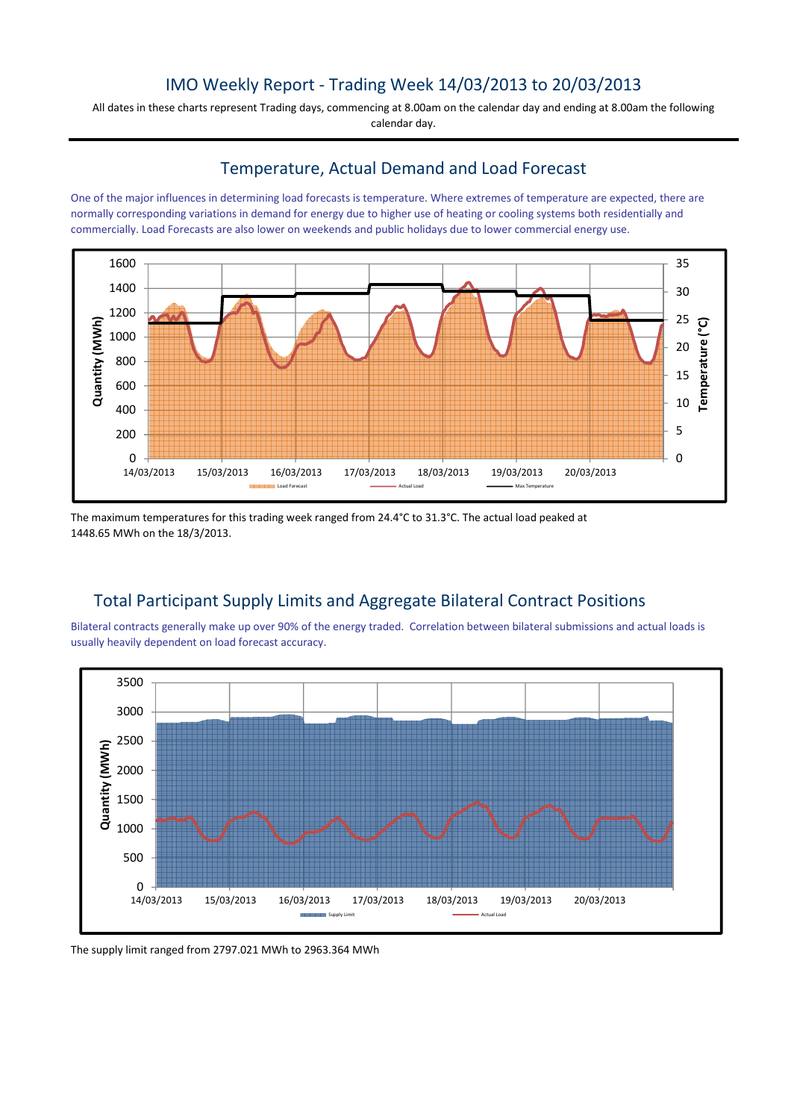## IMO Weekly Report - Trading Week 14/03/2013 to 20/03/2013

All dates in these charts represent Trading days, commencing at 8.00am on the calendar day and ending at 8.00am the following calendar day.

#### Temperature, Actual Demand and Load Forecast

One of the major influences in determining load forecasts is temperature. Where extremes of temperature are expected, there are normally corresponding variations in demand for energy due to higher use of heating or cooling systems both residentially and commercially. Load Forecasts are also lower on weekends and public holidays due to lower commercial energy use.



The maximum temperatures for this trading week ranged from 24.4°C to 31.3°C. The actual load peaked at 1448.65 MWh on the 18/3/2013.

# Total Participant Supply Limits and Aggregate Bilateral Contract Positions

Bilateral contracts generally make up over 90% of the energy traded. Correlation between bilateral submissions and actual loads is usually heavily dependent on load forecast accuracy.



The supply limit ranged from 2797.021 MWh to 2963.364 MWh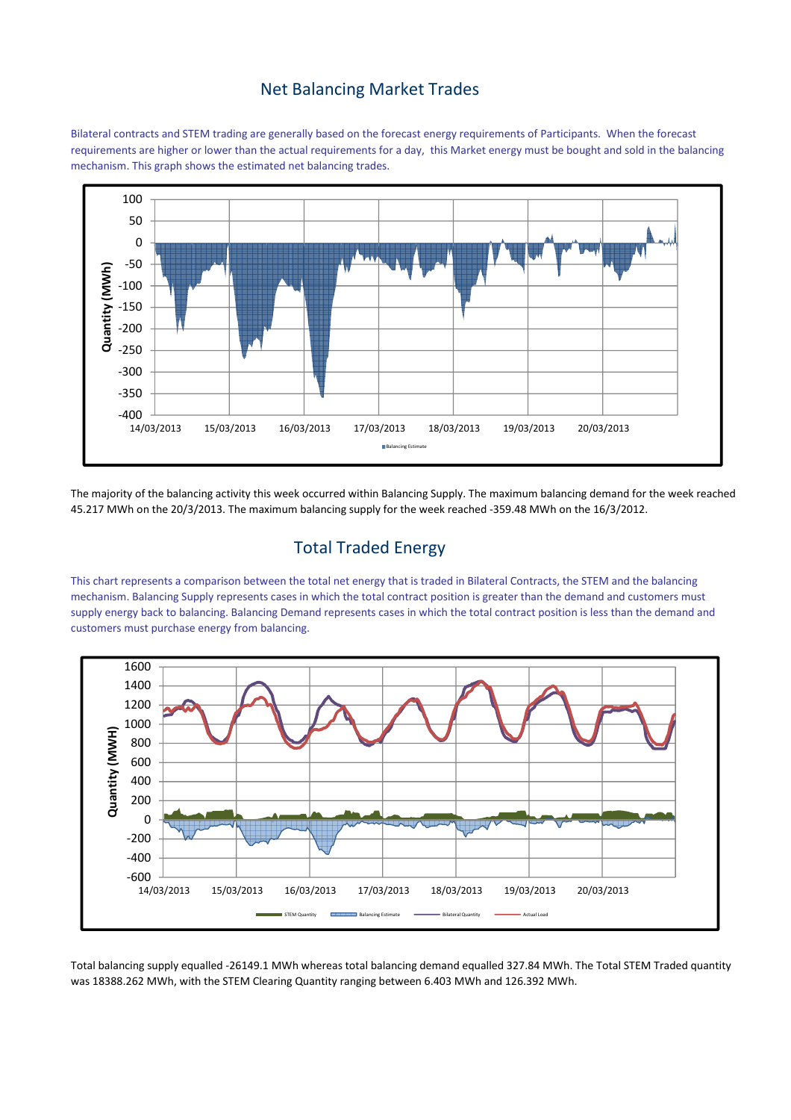### Net Balancing Market Trades

Bilateral contracts and STEM trading are generally based on the forecast energy requirements of Participants. When the forecast requirements are higher or lower than the actual requirements for a day, this Market energy must be bought and sold in the balancing mechanism. This graph shows the estimated net balancing trades.



The majority of the balancing activity this week occurred within Balancing Supply. The maximum balancing demand for the week reached 45.217 MWh on the 20/3/2013. The maximum balancing supply for the week reached -359.48 MWh on the 16/3/2012.

# Total Traded Energy

This chart represents a comparison between the total net energy that is traded in Bilateral Contracts, the STEM and the balancing mechanism. Balancing Supply represents cases in which the total contract position is greater than the demand and customers must supply energy back to balancing. Balancing Demand represents cases in which the total contract position is less than the demand and customers must purchase energy from balancing.



Total balancing supply equalled -26149.1 MWh whereas total balancing demand equalled 327.84 MWh. The Total STEM Traded quantity was 18388.262 MWh, with the STEM Clearing Quantity ranging between 6.403 MWh and 126.392 MWh.